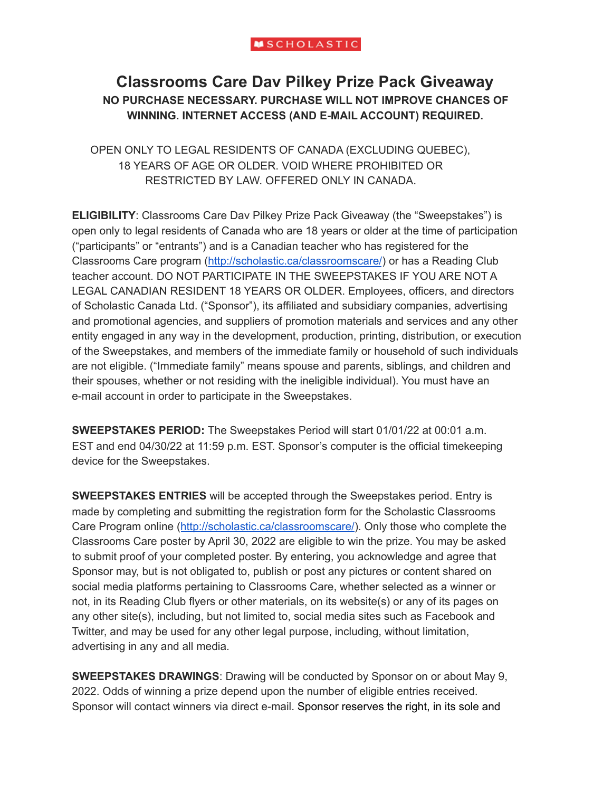# **Classrooms Care Dav Pilkey Prize Pack Giveaway NO PURCHASE NECESSARY. PURCHASE WILL NOT IMPROVE CHANCES OF WINNING. INTERNET ACCESS (AND E-MAIL ACCOUNT) REQUIRED.**

OPEN ONLY TO LEGAL RESIDENTS OF CANADA (EXCLUDING QUEBEC), 18 YEARS OF AGE OR OLDER. VOID WHERE PROHIBITED OR RESTRICTED BY LAW. OFFERED ONLY IN CANADA.

**ELIGIBILITY**: Classrooms Care Dav Pilkey Prize Pack Giveaway (the "Sweepstakes") is open only to legal residents of Canada who are 18 years or older at the time of participation ("participants" or "entrants") and is a Canadian teacher who has registered for the Classrooms Care program [\(http://scholastic.ca/classroomscare/](http://scholastic.ca/classroomscare/)) or has a Reading Club teacher account. DO NOT PARTICIPATE IN THE SWEEPSTAKES IF YOU ARE NOT A LEGAL CANADIAN RESIDENT 18 YEARS OR OLDER. Employees, officers, and directors of Scholastic Canada Ltd. ("Sponsor"), its affiliated and subsidiary companies, advertising and promotional agencies, and suppliers of promotion materials and services and any other entity engaged in any way in the development, production, printing, distribution, or execution of the Sweepstakes, and members of the immediate family or household of such individuals are not eligible. ("Immediate family" means spouse and parents, siblings, and children and their spouses, whether or not residing with the ineligible individual). You must have an e-mail account in order to participate in the Sweepstakes.

**SWEEPSTAKES PERIOD:** The Sweepstakes Period will start 01/01/22 at 00:01 a.m. EST and end 04/30/22 at 11:59 p.m. EST. Sponsor's computer is the official timekeeping device for the Sweepstakes.

**SWEEPSTAKES ENTRIES** will be accepted through the Sweepstakes period. Entry is made by completing and submitting the registration form for the Scholastic Classrooms Care Program online ([http://scholastic.ca/classroomscare/\)](http://scholastic.ca/classroomscare/). Only those who complete the Classrooms Care poster by April 30, 2022 are eligible to win the prize. You may be asked to submit proof of your completed poster. By entering, you acknowledge and agree that Sponsor may, but is not obligated to, publish or post any pictures or content shared on social media platforms pertaining to Classrooms Care, whether selected as a winner or not, in its Reading Club flyers or other materials, on its website(s) or any of its pages on any other site(s), including, but not limited to, social media sites such as Facebook and Twitter, and may be used for any other legal purpose, including, without limitation, advertising in any and all media.

**SWEEPSTAKES DRAWINGS**: Drawing will be conducted by Sponsor on or about May 9, 2022. Odds of winning a prize depend upon the number of eligible entries received. Sponsor will contact winners via direct e-mail. Sponsor reserves the right, in its sole and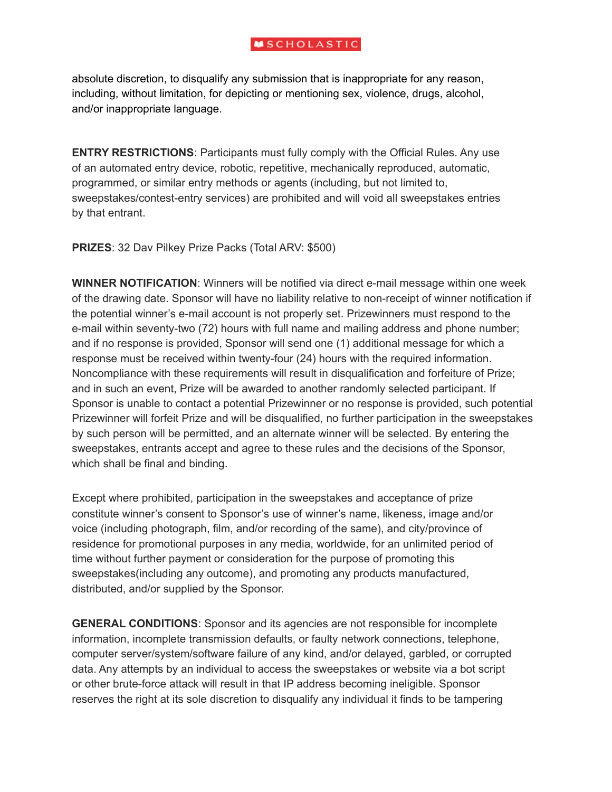absolute discretion, to disqualify any submission that is inappropriate for any reason, including, without limitation, for depicting or mentioning sex, violence, drugs, alcohol, and/or inappropriate language.

**ENTRY RESTRICTIONS**: Participants must fully comply with the Official Rules. Any use of an automated entry device, robotic, repetitive, mechanically reproduced, automatic, programmed, or similar entry methods or agents (including, but not limited to, sweepstakes/contest-entry services) are prohibited and will void all sweepstakes entries by that entrant.

**PRIZES**: 32 Dav Pilkey Prize Packs (Total ARV: \$500)

**WINNER NOTIFICATION**: Winners will be notified via direct e-mail message within one week of the drawing date. Sponsor will have no liability relative to non-receipt of winner notification if the potential winner's e-mail account is not properly set. Prizewinners must respond to the e-mail within seventy-two (72) hours with full name and mailing address and phone number; and if no response is provided, Sponsor will send one (1) additional message for which a response must be received within twenty-four (24) hours with the required information. Noncompliance with these requirements will result in disqualification and forfeiture of Prize; and in such an event, Prize will be awarded to another randomly selected participant. If Sponsor is unable to contact a potential Prizewinner or no response is provided, such potential Prizewinner will forfeit Prize and will be disqualified, no further participation in the sweepstakes by such person will be permitted, and an alternate winner will be selected. By entering the sweepstakes, entrants accept and agree to these rules and the decisions of the Sponsor, which shall be final and binding.

Except where prohibited, participation in the sweepstakes and acceptance of prize constitute winner's consent to Sponsor's use of winner's name, likeness, image and/or voice (including photograph, film, and/or recording of the same), and city/province of residence for promotional purposes in any media, worldwide, for an unlimited period of time without further payment or consideration for the purpose of promoting this sweepstakes(including any outcome), and promoting any products manufactured, distributed, and/or supplied by the Sponsor.

**GENERAL CONDITIONS**: Sponsor and its agencies are not responsible for incomplete information, incomplete transmission defaults, or faulty network connections, telephone, computer server/system/software failure of any kind, and/or delayed, garbled, or corrupted data. Any attempts by an individual to access the sweepstakes or website via a bot script or other brute-force attack will result in that IP address becoming ineligible. Sponsor reserves the right at its sole discretion to disqualify any individual it finds to be tampering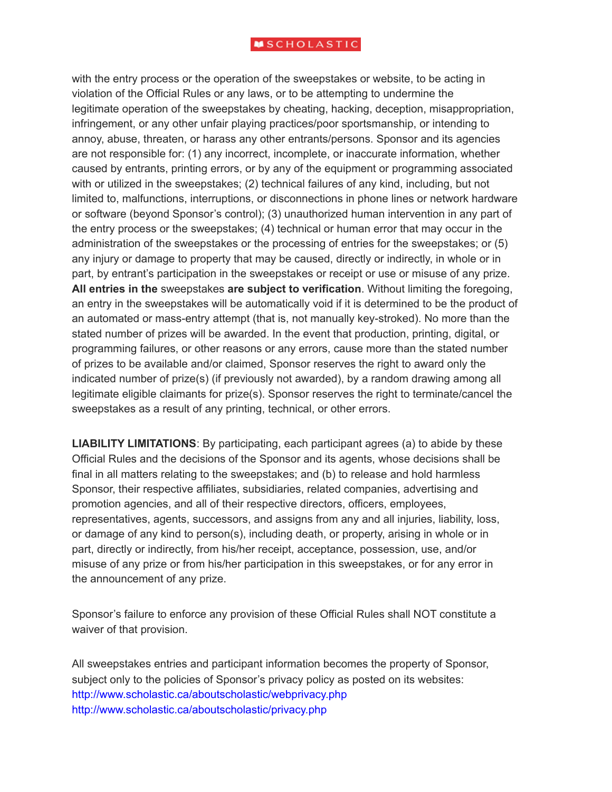with the entry process or the operation of the sweepstakes or website, to be acting in violation of the Official Rules or any laws, or to be attempting to undermine the legitimate operation of the sweepstakes by cheating, hacking, deception, misappropriation, infringement, or any other unfair playing practices/poor sportsmanship, or intending to annoy, abuse, threaten, or harass any other entrants/persons. Sponsor and its agencies are not responsible for: (1) any incorrect, incomplete, or inaccurate information, whether caused by entrants, printing errors, or by any of the equipment or programming associated with or utilized in the sweepstakes; (2) technical failures of any kind, including, but not limited to, malfunctions, interruptions, or disconnections in phone lines or network hardware or software (beyond Sponsor's control); (3) unauthorized human intervention in any part of the entry process or the sweepstakes; (4) technical or human error that may occur in the administration of the sweepstakes or the processing of entries for the sweepstakes; or (5) any injury or damage to property that may be caused, directly or indirectly, in whole or in part, by entrant's participation in the sweepstakes or receipt or use or misuse of any prize. **All entries in the** sweepstakes **are subject to verification**. Without limiting the foregoing, an entry in the sweepstakes will be automatically void if it is determined to be the product of an automated or mass-entry attempt (that is, not manually key-stroked). No more than the stated number of prizes will be awarded. In the event that production, printing, digital, or programming failures, or other reasons or any errors, cause more than the stated number of prizes to be available and/or claimed, Sponsor reserves the right to award only the indicated number of prize(s) (if previously not awarded), by a random drawing among all legitimate eligible claimants for prize(s). Sponsor reserves the right to terminate/cancel the sweepstakes as a result of any printing, technical, or other errors.

**LIABILITY LIMITATIONS**: By participating, each participant agrees (a) to abide by these Official Rules and the decisions of the Sponsor and its agents, whose decisions shall be final in all matters relating to the sweepstakes; and (b) to release and hold harmless Sponsor, their respective affiliates, subsidiaries, related companies, advertising and promotion agencies, and all of their respective directors, officers, employees, representatives, agents, successors, and assigns from any and all injuries, liability, loss, or damage of any kind to person(s), including death, or property, arising in whole or in part, directly or indirectly, from his/her receipt, acceptance, possession, use, and/or misuse of any prize or from his/her participation in this sweepstakes, or for any error in the announcement of any prize.

Sponsor's failure to enforce any provision of these Official Rules shall NOT constitute a waiver of that provision.

All sweepstakes entries and participant information becomes the property of Sponsor, subject only to the policies of Sponsor's privacy policy as posted on its websites: http://www.scholastic.ca/aboutscholastic/webprivacy.php http://www.scholastic.ca/aboutscholastic/privacy.php